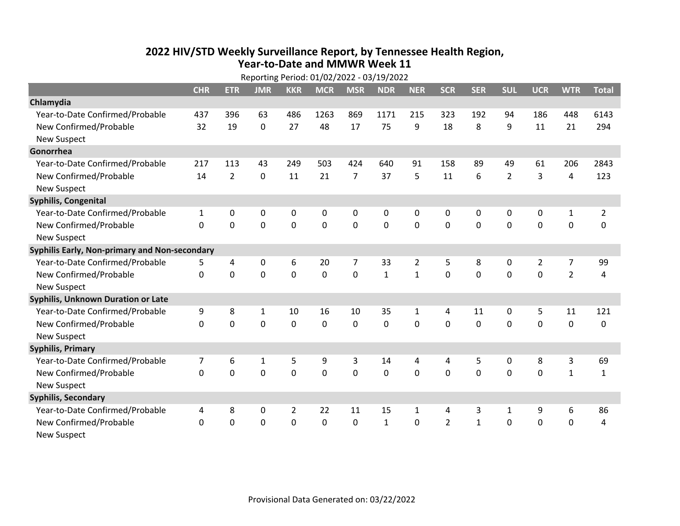## **2022 HIV /STD Weekly Surveillance Report, by Tennessee Health Region, Year‐to‐Date and MMWR Week 11** Reporting Period: 01/02/2022 ‐ 03/19/2022

| Reporting Period: 01/02/2022 - 03/19/2022     |            |                |              |                |             |                |              |                |                |              |                |                |                |                |
|-----------------------------------------------|------------|----------------|--------------|----------------|-------------|----------------|--------------|----------------|----------------|--------------|----------------|----------------|----------------|----------------|
|                                               | <b>CHR</b> | <b>ETR</b>     | <b>JMR</b>   | <b>KKR</b>     | <b>MCR</b>  | <b>MSR</b>     | <b>NDR</b>   | <b>NER</b>     | <b>SCR</b>     | <b>SER</b>   | <b>SUL</b>     | <b>UCR</b>     | <b>WTR</b>     | <b>Total</b>   |
| Chlamydia                                     |            |                |              |                |             |                |              |                |                |              |                |                |                |                |
| Year-to-Date Confirmed/Probable               | 437        | 396            | 63           | 486            | 1263        | 869            | 1171         | 215            | 323            | 192          | 94             | 186            | 448            | 6143           |
| New Confirmed/Probable                        | 32         | 19             | $\mathbf 0$  | 27             | 48          | 17             | 75           | 9              | 18             | 8            | 9              | 11             | 21             | 294            |
| <b>New Suspect</b>                            |            |                |              |                |             |                |              |                |                |              |                |                |                |                |
| Gonorrhea                                     |            |                |              |                |             |                |              |                |                |              |                |                |                |                |
| Year-to-Date Confirmed/Probable               | 217        | 113            | 43           | 249            | 503         | 424            | 640          | 91             | 158            | 89           | 49             | 61             | 206            | 2843           |
| New Confirmed/Probable                        | 14         | $\overline{2}$ | 0            | 11             | 21          | $\overline{7}$ | 37           | 5              | 11             | 6            | $\overline{2}$ | 3              | 4              | 123            |
| <b>New Suspect</b>                            |            |                |              |                |             |                |              |                |                |              |                |                |                |                |
| <b>Syphilis, Congenital</b>                   |            |                |              |                |             |                |              |                |                |              |                |                |                |                |
| Year-to-Date Confirmed/Probable               | 1          | 0              | 0            | 0              | 0           | 0              | 0            | 0              | 0              | 0            | 0              | 0              | $\mathbf{1}$   | $\overline{2}$ |
| New Confirmed/Probable                        | $\Omega$   | 0              | 0            | 0              | 0           | $\mathbf 0$    | 0            | $\mathbf 0$    | 0              | $\mathbf 0$  | $\mathbf 0$    | $\mathbf 0$    | $\mathbf 0$    | 0              |
| <b>New Suspect</b>                            |            |                |              |                |             |                |              |                |                |              |                |                |                |                |
| Syphilis Early, Non-primary and Non-secondary |            |                |              |                |             |                |              |                |                |              |                |                |                |                |
| Year-to-Date Confirmed/Probable               | 5.         | 4              | 0            | 6              | 20          | $\overline{7}$ | 33           | $\overline{2}$ | 5              | 8            | 0              | $\overline{2}$ | $\overline{7}$ | 99             |
| New Confirmed/Probable                        | $\Omega$   | $\mathbf 0$    | 0            | $\Omega$       | $\mathbf 0$ | $\Omega$       | $\mathbf{1}$ | $\mathbf{1}$   | $\Omega$       | $\mathbf{0}$ | $\Omega$       | $\mathbf 0$    | $\overline{2}$ | $\overline{4}$ |
| <b>New Suspect</b>                            |            |                |              |                |             |                |              |                |                |              |                |                |                |                |
| Syphilis, Unknown Duration or Late            |            |                |              |                |             |                |              |                |                |              |                |                |                |                |
| Year-to-Date Confirmed/Probable               | 9          | 8              | $\mathbf{1}$ | 10             | 16          | 10             | 35           | $\mathbf{1}$   | 4              | 11           | $\mathbf{0}$   | 5              | 11             | 121            |
| New Confirmed/Probable                        | 0          | 0              | 0            | 0              | 0           | 0              | 0            | $\Omega$       | $\Omega$       | $\mathbf{0}$ | 0              | 0              | $\mathbf 0$    | 0              |
| <b>New Suspect</b>                            |            |                |              |                |             |                |              |                |                |              |                |                |                |                |
| <b>Syphilis, Primary</b>                      |            |                |              |                |             |                |              |                |                |              |                |                |                |                |
| Year-to-Date Confirmed/Probable               | 7          | 6              | 1            | 5              | 9           | 3              | 14           | 4              | 4              | 5            | 0              | 8              | 3              | 69             |
| New Confirmed/Probable                        | 0          | 0              | 0            | 0              | $\mathbf 0$ | $\mathbf 0$    | 0            | $\Omega$       | $\Omega$       | $\mathbf 0$  | 0              | $\mathbf 0$    | $\mathbf{1}$   | $\mathbf{1}$   |
| <b>New Suspect</b>                            |            |                |              |                |             |                |              |                |                |              |                |                |                |                |
| <b>Syphilis, Secondary</b>                    |            |                |              |                |             |                |              |                |                |              |                |                |                |                |
| Year-to-Date Confirmed/Probable               | 4          | 8              | 0            | $\overline{2}$ | 22          | 11             | 15           | $\mathbf{1}$   | 4              | 3            | 1              | 9              | 6              | 86             |
| New Confirmed/Probable                        | $\Omega$   | $\mathbf 0$    | $\mathbf 0$  | 0              | $\mathbf 0$ | 0              | $\mathbf{1}$ | $\Omega$       | $\overline{2}$ | $\mathbf{1}$ | $\mathbf 0$    | $\mathbf 0$    | $\mathbf 0$    | $\overline{4}$ |
| New Suspect                                   |            |                |              |                |             |                |              |                |                |              |                |                |                |                |